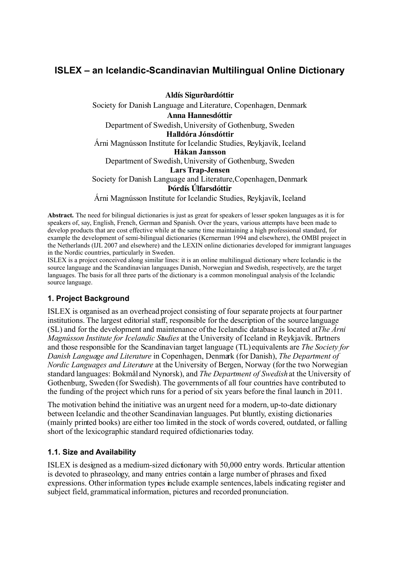# **ISLEX – an Icelandic-Scandinavian Multilingual Online Dictionary**

Aldís Sigurðardóttir Society for Danish Language and Literature, Copenhagen, Denmark Anna Hannesdóttir Department of Swedish, University of Gothenburg, Sweden **Halldóra Jónsdóttir** Árni Magnússon Institute for Icelandic Studies, Reykjavík, Iceland **Håkan Jansson** Department of Swedish, University of Gothenburg, Sweden **Lars Trap-Jensen** Society for Danish Language and Literature, Copenhagen, Denmark Þórdís Úlfarsdóttir

Árni Magnússon Institute for Icelandic Studies, Reykjavík, Iceland

**Abstract.** The need for bilingual dictionaries is just as great for speakers of lesser spoken languages as it is for speakers of, say, English, French, German and Spanish. Over the years, various attempts have been made to develop products that are cost effective while at the same time maintaining a high professional standard, for example the development of semi-bilingual dictionaries (Kernerman 1994 and elsewhere), the OMBI project in the Netherlands (IJL 2007 and elsewhere) and the LEXIN online dictionaries developed for immigrant languages in the Nordic countries, particularly in Sweden.

ISLEX is a project conceived along similar lines: it is an online multilingual dictionary where Icelandic is the source language and the Scandinavian languages Danish, Norwegian and Swedish, respectively, are the target languages. The basis for all three parts of the dictionary is a common monolingual analysis of the Icelandic source language.

# **1. Project Background**

ISLEX is organised as an overhead project consisting of four separate projects at four partner institutions. The largest editorial staff, responsible for the description of the source language (SL) and for the development and maintenance of the Icelandic database is located at *The Árni Magnússon Institute for Icelandic Studies* at the University of Iceland in Reykjavík. Partners and those responsible for the Scandinavian target language (TL) equivalents are *The Society for Danish Language and Literature* in Copenhagen, Denmark (for Danish), *The Department of Nordic Languages and Literature* at the University of Bergen, Norway (for the two Norwegian standard languages: Bokmål and Nynorsk), and *The Department of Swedish* at the University of Gothenburg, Sweden (for Swedish). The governments of all four countries have contributed to the funding of the project which runs for a period of six years before the final launch in 2011.

The motivation behind the initiative was an urgent need for a modern, up-to-date dictionary between Icelandic and the other Scandinavian languages. Put bluntly, existing dictionaries (mainly printed books) are either too limited in the stock of words covered, outdated, or falling short of the lexicographic standard required of dictionaries today.

#### **1.1. Size and Availability**

ISLEX is designed as a medium-sized dictionary with 50,000 entry words. Particular attention is devoted to phraseology, and many entries contain a large number of phrases and fixed expressions. Other information types include example sentences, labels indicating register and subject field, grammatical information, pictures and recorded pronunciation.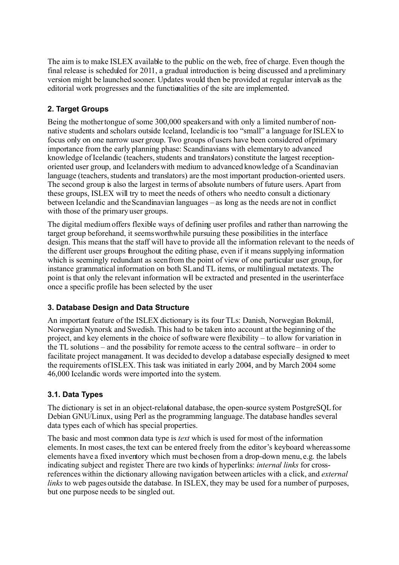The aim is to make ISLEX available to the public on the web, free of charge. Even though the final release is scheduled for 2011, a gradual introduction is being discussed and a preliminary version might be launched sooner. Updates would then be provided at regular intervals as the editorial work progresses and the functionalities of the site are implemented.

# **2. Target Groups**

Being the mother tongue of some 300,000 speakers and with only a limited number of nonnative students and scholars outside Iceland, Icelandic is too "small" a language for ISLEX to focus only on one narrow user group. Two groups of users have been considered of primary importance from the early planning phase: Scandinavians with elementary to advanced knowledge of Icelandic (teachers, students and translators) constitute the largest receptionoriented user group, and Icelanders with medium to advanced knowledge of a Scandinavian language (teachers, students and translators) are the most important production-oriented users. The second group is also the largest in terms of absolute numbers of future users. Apart from these groups, ISLEX will try to meet the needs of others who need to consult a dictionary between Icelandic and the Scandinavian languages – as long as the needs are not in conflict with those of the primary user groups.

The digital medium offers flexible ways of defining user profiles and rather than narrowing the target group beforehand, it seems worthwhile pursuing these possibilities in the interface design. This means that the staff will have to provide all the information relevant to the needs of the different user groups throughout the editing phase, even if it means supplying information which is seemingly redundant as seen from the point of view of one particular user group, for instance grammatical information on both SL and TL items, or multilingual metatexts. The point is that only the relevant information will be extracted and presented in the user interface once a specific profile has been selected by the user.

# **3. Database Design and Data Structure**

An important feature of the ISLEX dictionary is its four TLs: Danish, Norwegian Bokmål, Norwegian Nynorsk and Swedish. This had to be taken into account at the beginning of the project, and key elements in the choice of software were flexibility – to allow for variation in the TL solutions – and the possibility for remote access to the central software – in order to facilitate project management. It was decided to develop a database especially designed to meet the requirements of ISLEX. This task was initiated in early 2004, and by March 2004 some 46,000 Icelandic words were imported into the system.

# **3.1. Data Types**

The dictionary is set in an object-relational database, the open-source system PostgreSQL for Debian GNU/Linux, using Perl as the programming language. The database handles several data types each of which has special properties.

The basic and most common data type is *text* which is used for most of the information elements. In most cases, the text can be entered freely from the editor's keyboard whereas some elements have a fixed inventory which must be chosen from a drop-down menu, e.g. the labels indicating subject and register. There are two kinds of hyperlinks: *internal links* for crossreferences within the dictionary allowing navigation between articles with a click, and *external links* to web pages outside the database. In ISLEX, they may be used for a number of purposes, but one purpose needs to be singled out.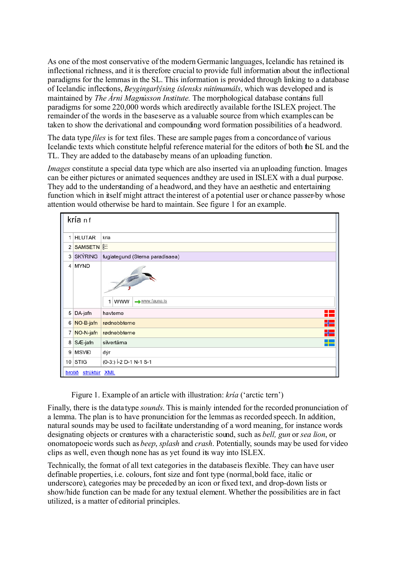As one of the most conservative of the modern Germanic languages, Icelandic has retained its inflectional richness, and it is therefore crucial to provide full information about the inflectional paradigms for the lemmas in the SL. This information is provided through linking to a database of Icelandic inflections, *Beygingarlýsing íslensks nútímamáls*, which was developed and is maintained by *The Árni Magnússon Institute.* The morphological database contains full paradigms for some 220,000 words which are directly available for the ISLEX project. The remainder of the words in the base serve as a valuable source from which examples can be taken to show the derivational and compounding word formation possibilities of a headword.

The data type *files* is for text files. These are sample pages from a concordance of various Icelandic texts which constitute helpful reference material for the editors of both the SL and the TL. They are added to the database by means of an uploading function.

*Images* constitute a special data type which are also inserted via an uploading function. Images can be either pictures or animated sequences and they are used in ISLEX with a dual purpose. They add to the understanding of a headword, and they have an aesthetic and entertaining function which in itself might attract the interest of a potential user or chance passer-by whose attention would otherwise be hard to maintain. See figure 1 for an example.

| Π<br>kría nf    |                               |                                 |  |  |
|-----------------|-------------------------------|---------------------------------|--|--|
| $\mathbf{1}$    | <b>HLUTAR</b>                 | kría                            |  |  |
| 2               | SAMSETN <sup>E:</sup>         |                                 |  |  |
|                 | 3 SKÝRING                     | fuglategund (Sterna paradisaea) |  |  |
| 4               | <b>MYND</b>                   | www.fauna.is<br><b>WWW</b><br>1 |  |  |
| 5               | DA-jafn                       | H<br>havterne                   |  |  |
| 6               | NO-B-jafn                     | H<br>rødnebbterne               |  |  |
| 7               | NO-N-jafn                     | 님들<br>rødnebbterne              |  |  |
| 8               | SÆ-jafn                       | silvertärna<br>m m              |  |  |
| 9               | <b>MSVIĐ</b>                  | dýr                             |  |  |
| 10 <sup>1</sup> | <b>STIG</b>                   | (0-3:) Í-2 D-1 N-1 S-1          |  |  |
|                 | strúktúr XML<br><b>brotið</b> |                                 |  |  |

Figure 1. Example of an article with illustration: *kría* ('arctic tern')

Finally, there is the data type *sounds*. This is mainly intended for the recorded pronunciation of a lemma. The plan is to have pronunciation for the lemmas as recorded speech. In addition, natural sounds may be used to facilitate understanding of a word meaning, for instance words designating objects or creatures with a characteristic sound, such as *bell, gun* or *sea lion*, or onomatopoeic words such as *beep*, *splash* and *crash*. Potentially, sounds may be used for video clips as well, even though none has as yet found its way into ISLEX.

Technically, the format of all text categories in the database is flexible. They can have user definable properties, i.e. colours, font size and font type (normal, bold face, italic or underscore), categories may be preceded by an icon or fixed text, and drop-down lists or show/hide function can be made for any textual element. Whether the possibilities are in fact utilized, is a matter of editorial principles.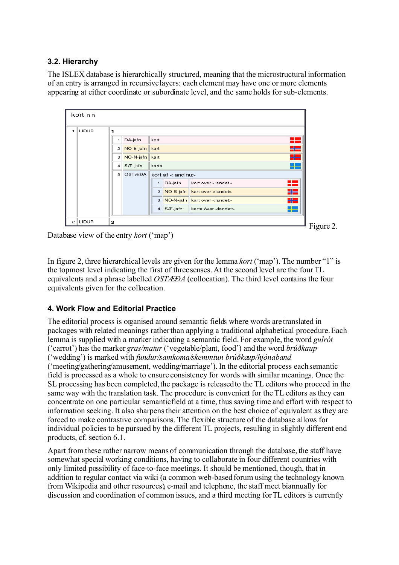# **3.2. Hierarchy**

The ISLEX database is hierarchically structured, meaning that the microstructural information of an entry is arranged in recursive layers: each element may have one or more elements appearing at either coordinate or subordinate level, and the same holds for sub-elements.

| kort nn        |       |                                                                    |    |  |  |  |
|----------------|-------|--------------------------------------------------------------------|----|--|--|--|
|                | LIĐUR |                                                                    |    |  |  |  |
|                |       | DA-jafn<br>kort                                                    | ÷  |  |  |  |
|                |       | NO-B-jafn<br>kart<br>2 <sup>1</sup>                                | 물론 |  |  |  |
|                |       | NO-N-jafn<br>kart<br>3 <sup>1</sup>                                | HE |  |  |  |
|                |       | SÆ-jafn<br>karta<br>$\overline{4}$                                 |    |  |  |  |
|                |       | OSTÆÐA<br>5 <sup>1</sup><br>kort af <landinu></landinu>            |    |  |  |  |
|                |       | DA-jafn<br>kort over <landet><br/><math>\mathbf{1}</math></landet> | 82 |  |  |  |
|                |       | NO-B-jafn<br>$\overline{2}$<br>kart over <landet></landet>         | HE |  |  |  |
|                |       | NO-N-jafn<br>3<br>kart over <landet></landet>                      | HE |  |  |  |
|                |       | $4$ SÆ-jafn<br>karta över <landet></landet>                        | 42 |  |  |  |
| $\overline{2}$ | LIĐUR |                                                                    |    |  |  |  |

 $\blacksquare$  Figure 2.

Database view of the entry *kort* ('map')

In figure 2, three hierarchical levels are given for the lemma *kort* ('map'). The number "1" is the topmost level indicating the first of three senses. At the second level are the four TL equivalents and a phrase labelled *OSTÆÐA* (collocation). The third level contains the four equivalents given for the collocation.

# **4. Work Flow and Editorial Practice**

The editorial process is organised around semantic fields where words are translated in packages with related meanings rather than applying a traditional alphabetical procedure. Each lemma is supplied with a marker indicating a semantic field. For example, the word *gulrót* ('carrot') has the marker *gras/matur* ('vegetable/plant, food') and the word *brúðkaup* ('wedding') is marked with *fundur/samkoma/skemmtun brúðkaup/hjónaband* ('meeting/gathering/amusement, wedding/marriage'). In the editorial process each semantic field is processed as a whole to ensure consistency for words with similar meanings. Once the SL processing has been completed, the package is released to the TL editors who proceed in the same way with the translation task. The procedure is convenient for the TL editors as they can concentrate on one particular semantic field at a time, thus saving time and effort with respect to information seeking. It also sharpens their attention on the best choice of equivalent as they are forced to make contrastive comparisons. The flexible structure of the database allows for individual policies to be pursued by the different TL projects, resulting in slightly different end products, cf. section 6.1.

Apart from these rather narrow means of communication through the database, the staff have somewhat special working conditions, having to collaborate in four different countries with only limited possibility of face-to-face meetings. It should be mentioned, though, that in addition to regular contact via wiki (a common web-based forum using the technology known from Wikipedia and other resources), e-mail and telephone, the staff meet biannually for discussion and coordination of common issues, and a third meeting forTL editors is currently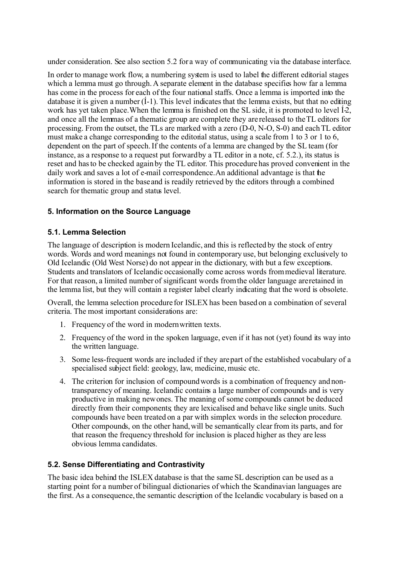under consideration. See also section 5.2 for a way of communicating via the database interface.

In order to manage work flow, a numbering system is used to label the different editorial stages which a lemma must go through. A separate element in the database specifies how far a lemma has come in the process for each of the four national staffs. Once a lemma is imported into the database it is given a number  $(i-1)$ . This level indicates that the lemma exists, but that no editing work has yet taken place. When the lemma is finished on the SL side, it is promoted to level  $12$ , and once all the lemmas of a thematic group are complete they are released to the TL editors for processing. From the outset, the TLs are marked with a zero (D-0, N-O, S-0) and each TL editor must make a change corresponding to the editorial status, using a scale from 1 to 3 or 1 to 6, dependent on the part of speech. If the contents of a lemma are changed by the SL team (for instance, as a response to a request put forward by a TL editor in a note, cf. 5.2.), its status is reset and has to be checked again by the TL editor. This procedure has proved convenient in the daily work and saves a lot of e-mail correspondence.An additional advantage is that the information is stored in the base and is readily retrieved by the editors through a combined search for thematic group and status level.

# **5. Information on the Source Language**

#### **5.1. Lemma Selection**

The language of description is modern Icelandic, and this is reflected by the stock of entry words. Words and word meanings not found in contemporary use, but belonging exclusively to Old Icelandic (Old West Norse) do not appear in the dictionary, with but a few exceptions. Students and translators of Icelandic occasionally come across words from medieval literature. For that reason, a limited number of significant words from the older language are retained in the lemma list, but they will contain a register label clearly indicating that the word is obsolete.

Overall, the lemma selection procedure for ISLEX has been based on a combination of several criteria. The most important considerations are:

- 1. Frequency of the word in modern written texts.
- 2. Frequency of the word in the spoken language, even if it has not (yet) found its way into the written language.
- 3. Some less-frequent words are included if they are part of the established vocabulary of a specialised subject field: geology, law, medicine, music etc.
- 4. The criterion for inclusion of compound words is a combination of frequency and nontransparency of meaning. Icelandic contains a large number of compounds and is very productive in making new ones. The meaning of some compounds cannot be deduced directly from their components they are lexicalised and behave like single units. Such compounds have been treated on a par with simplex words in the selection procedure. Other compounds, on the other hand, will be semantically clear from its parts, and for that reason the frequency threshold for inclusion is placed higher as they are less obvious lemma candidates.

#### **5.2. Sense Differentiating and Contrastivity**

The basic idea behind the ISLEX database is that the same SL description can be used as a starting point for a number of bilingual dictionaries of which the Scandinavian languages are the first. As a consequence, the semantic description of the Icelandic vocabulary is based on a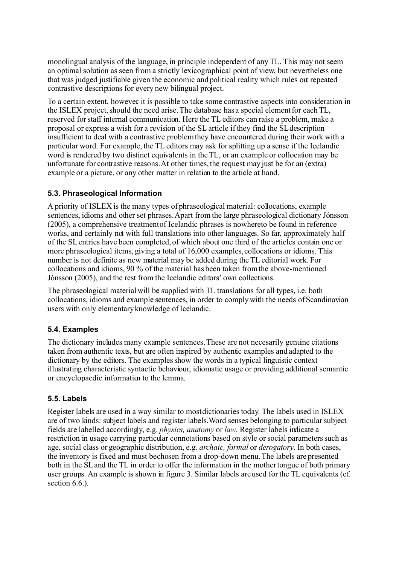monolingual analysis of the language, in principle independent of any TL. This may not seem an optimal solution as seen from a strictly lexicographical point of view, but nevertheless one that was judged justifiable given the economic and political reality which rules out repeated contrastive descriptions for every new bilingual project.

To a certain extent, however, it is possible to take some contrastive aspects into consideration in the ISLEX project, should the need arise.The database has a special element for each TL, reserved for staff internal communication. Here the TL editors can raise a problem, make a proposal or express a wish for a revision of the SL article if they find the SLdescription insufficient to deal with a contrastive problem they have encountered during their work with a particular word. For example, the TL editors may ask for splitting up a sense if the Icelandic word is rendered by two distinct equivalents in the TL, or an example or collocation may be unfortunate for contrastive reasons. At other times, the request may just be for an (extra) example or a picture, or any other matter in relation to the article at hand.

### **5.3. Phraseological Information**

A priority of ISLEX is the many types of phraseological material: collocations, example sentences, idioms and other set phrases. Apart from the large phraseological dictionary Jónsson  $(2005)$ , a comprehensive treatment of Icelandic phrases is nowhere to be found in reference works, and certainly not with full translations into other languages. So far, approximately half of the SLentries have been completed, of which about one third of the articles contain one or more phraseological items, giving a total of 16,000 examples, collocations or idioms. This number is not definite as new material may be added during the TL editorial work. For collocations and idioms, 90 % of the material has been taken from the above-mentioned Jónsson (2005), and the rest from the Icelandic editors' own collections.

The phraseological material will be supplied with TL translations for all types, i.e. both collocations, idioms and example sentences, in order to comply with the needs of Scandinavian users with only elementary knowledge of Icelandic.

#### **5.4. Examples**

The dictionary includes many example sentences. These are not necesarily genuine citations taken from authentic texts, but are often inspired by authentic examples and adapted to the dictionary by the editors. The examples show the words in a typical linguistic context illustrating characteristic syntactic behaviour, idiomatic usage or providing additional semantic or encyclopaedic information to the lemma.

#### **5.5. Labels**

Register labels are used in a way similar to most dictionaries today. The labels used in ISLEX are of two kinds: subject labels and register labels. Word senses belonging to particular subject fields are labelled accordingly, e.g. *physics, anatomy* or *law*. Register labels indicate a restriction in usage carrying particular connotations based on style or social parameters such as age, social class or geographic distribution, e.g. *archaic, formal* or *derogatory*. In both cases, the inventory is fixed and must be chosen from a drop-down menu.The labels are presented both in the SLand the TL in order to offer the information in the mother tongue of both primary user groups. An example is shown in figure 3. Similar labels are used for the TL equivalents (cf. section  $6.6$ .).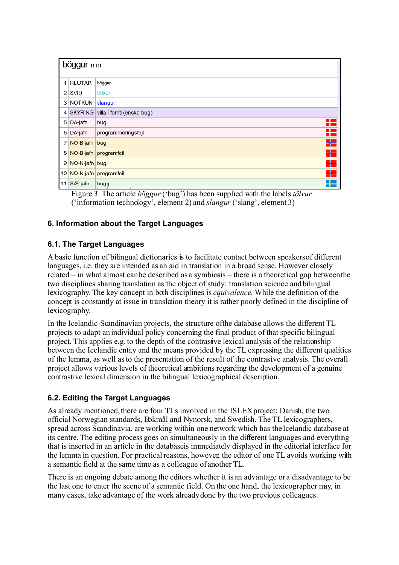| böggur n m      |                      |                                       |  |  |
|-----------------|----------------------|---------------------------------------|--|--|
|                 | 1 HLUTAR             | böggur                                |  |  |
|                 | $2$ SVI <sub>D</sub> | tölvur                                |  |  |
|                 | 3 NOTKUN             | slangur                               |  |  |
|                 |                      | 4 SKÝRING villa í forriti (enska bug) |  |  |
|                 | 5 DA-jafn            | bug                                   |  |  |
| 6 <sub>1</sub>  | DA-jafn              | programmeringsfejl                    |  |  |
|                 | 7 NO-B-jafn bug      |                                       |  |  |
| 8               |                      | NO-B-jafn programfeil                 |  |  |
|                 | 9 NO-N-jafn bug      |                                       |  |  |
| 10 <sup>1</sup> |                      | NO-N-jafn programfeil                 |  |  |
| 11              | SÆ-jafn              | bugg                                  |  |  |

Figure 3. The article *böggur* ('bug') has been supplied with the labels *tölvur*  ('information technology', element 2) and *slangur* ('slang', element 3)

### **6. Information about the Target Languages**

#### **6.1. The Target Languages**

A basic function of bilingual dictionaries is to facilitate contact between speakers of different languages, i.e. they are intended as an aid in translation in a broad sense. However closely related – in what almost can be described as a symbiosis – there is a theoretical gap between the two disciplines sharing translation as the object of study: translation science and bilingual lexicography. The key concept in both disciplines is *equivalence*. While the definition of the concept is constantly at issue in translation theory it is rather poorly defined in the discipline of lexicography.

In the Icelandic-Scandinavian projects, the structure of the database allows the different TL projects to adapt an individual policy concerning the final product of that specific bilingual project. This applies e.g. to the depth of the contrastive lexical analysis of the relationship between the Icelandic entity and the means provided by the TL expressing the different qualities of the lemma, as well as to the presentation of the result of the contrastive analysis. The overall project allows various levels of theoretical ambitions regarding the development of a genuine contrastive lexical dimension in the bilingual lexicographical description.

#### **6.2. Editing the Target Languages**

As already mentioned, there are four TLs involved in the ISLEX project: Danish, the two official Norwegian standards, Bokmål and Nynorsk, and Swedish. The TL lexicographers, spread across Scandinavia, are working within one network which has the Icelandic database at its centre. The editing process goes on simultaneously in the different languages and everything that is inserted in an article in the database is immediately displayed in the editorial interface for the lemma in question. For practical reasons, however, the editor of one TL avoids working with a semantic field at the same time as a colleague of another TL.

There is an ongoing debate among the editors whether it is an advantage or a disadvantage to be the last one to enter the scene of a semantic field. On the one hand, the lexicographer may, in many cases, take advantage of the work already done by the two previous colleagues.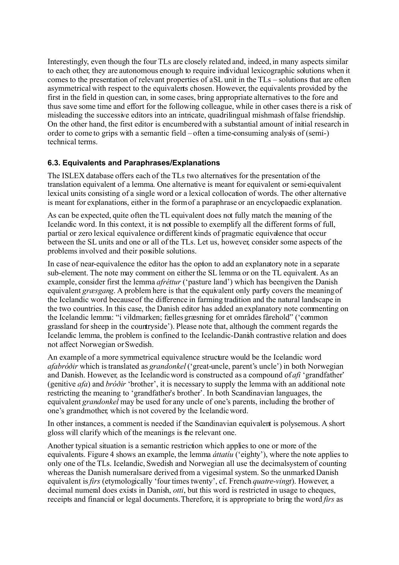Interestingly, even though the four TLs are closely related and, indeed, in many aspects similar to each other, they are autonomous enough to require individual lexicographic solutions when it comes to the presentation of relevant properties of a SL unit in the TLs – solutions that are often asymmetrical with respect to the equivalents chosen. However, the equivalents provided by the first in the field in question can, in some cases, bring appropriate alternatives to the fore and thus save some time and effort for the following colleague, while in other cases there is a risk of misleading the successive editors into an intricate, quadrilingual mishmash of false friendship. On the other hand, the first editor is encumbered with a substantial amount of initial research in order to come to grips with a semantic field – often a time-consuming analysis of (semi-) technical terms.

### **6.3. Equivalents and Paraphrases/Explanations**

The ISLEX database offers each of the TLs two alternatives for the presentation of the translation equivalent of a lemma. One alternative is meant for equivalent or semi-equivalent lexical units consisting of a single word or a lexical collocation of words. The other alternative is meant for explanations, either in the form of a paraphrase or an encyclopaedic explanation.

As can be expected, quite often the TL equivalent does not fully match the meaning of the Icelandic word. In this context, it is not possible to exemplify all the different forms of full, partial or zero lexical equivalence or different kinds of pragmatic equivalence that occur between the SL units and one or all of the TLs. Let us, however, consider some aspects of the problems involved and their possible solutions.

In case of near-equivalence the editor has the option to add an explanatory note in a separate sub-element. The note may comment on either the SL lemma or on the TL equivalent. As an example, consider first the lemma *afréttur* ('pasture land') which has been given the Danish equivalent *græsgang*. A problem here is that the equivalent only partly covers the meaning of the Icelandic word because of the difference in farming tradition and the natural landscape in the two countries. In this case, the Danish editor has added an explanatory note commenting on the Icelandic lemma: "i vildmarken; fælles græsning for et områdes fårehold" ('common grassland for sheep in the countryside'). Please note that, although the comment regards the Icelandic lemma, the problem is confined to the Icelandic-Danish contrastive relation and does not affect Norwegian or Swedish.

An example of a more symmetrical equivalence structure would be the Icelandic word *afabróðir* which istranslated as *grandonkel* ('great-uncle, parent's uncle') in both Norwegian and Danish. However, as the Icelandic word is constructed as a compound of *afi* 'grandfather' (genitive *afa*) and *bróðir* 'brother', it is necessary to supply the lemma with an additional note restricting the meaning to 'grandfather's brother'. In both Scandinavian languages, the equivalent *grandonkel* may be used for any uncle of one's parents, including the brother of one's grandmother, which is not covered by the Icelandic word.

In other instances, a comment is needed if the Scandinavian equivalent is polysemous. A short gloss will clarify which of the meanings is the relevant one.

Another typical situation is a semantic restriction which applies to one or more of the equivalents. Figure 4 shows an example, the lemma *áttatíu* ('eighty'), where the note applies to only one of the TLs. Icelandic, Swedish and Norwegian all use the decimal system of counting whereas the Danish numerals are derived from a vigesimal system. So the unmarked Danish equivalent is*firs* (etymologically 'four times twenty', cf. French *quatre*-*vingt*). However, a decimal numeral does exists in Danish, *otti*, but this word is restricted in usage to cheques, receipts and financial or legal documents. Therefore, it is appropriate to bring the word *firs* as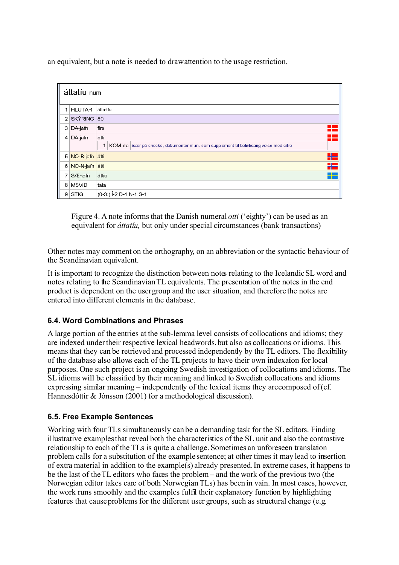an equivalent, but a note is needed to draw attention to the usage restriction.

| áttatíu num    |                |                                                                                                       |  |  |
|----------------|----------------|-------------------------------------------------------------------------------------------------------|--|--|
| 1              | <b>HLUTAR</b>  | átta-tíu                                                                                              |  |  |
| 2              | SKÝRING 80     |                                                                                                       |  |  |
| 3 <sup>1</sup> | DA-jafn        | H<br>firs                                                                                             |  |  |
| 4              | DA-jafn        | H<br>otti<br>1<br>KOM-da især på checks, dokumenter m.m. som supplement til beløbsangivelse med cifre |  |  |
| 5 <sup>5</sup> | NO-B-jafn åtti | 물문                                                                                                    |  |  |
| 6              | NO-N-jafn åtti | H를                                                                                                    |  |  |
| 7              | SÆ-jafn        | åttio<br><b>The Co</b>                                                                                |  |  |
| 8              | <b>MSVIĐ</b>   | tala                                                                                                  |  |  |
| 9              | <b>STIG</b>    | $(0-3)$ $\neq$ D-1 N-1 S-1                                                                            |  |  |

Figure 4. A note informs that the Danish numeral *otti* ('eighty') can be used as an equivalent for *áttatíu*, but only under special circumstances (bank transactions)

Other notes may comment on the orthography, on an abbreviation or the syntactic behaviour of the Scandinavian equivalent.

It is important to recognize the distinction between notes relating to the Icelandic SL word and notes relating to the Scandinavian TL equivalents. The presentation of the notes in the end product is dependent on the user group and the user situation, and therefore the notes are entered into different elements in the database.

#### **6.4. Word Combinations and Phrases**

A large portion of the entries at the sub-lemma level consists of collocations and idioms; they are indexed under their respective lexical headwords, but also as collocations or idioms. This means that they can be retrieved and processed independently by the TL editors. The flexibility of the database also allows each of the TL projects to have their own indexation for local purposes. One such project isan ongoing Swedish investigation of collocations and idioms. The SL idioms will be classified by their meaning and linked to Swedish collocations and idioms expressing similar meaning – independently of the lexical items they are composed of (cf. Hannesdóttir & Jónsson (2001) for a methodological discussion).

#### **6.5. Free Example Sentences**

Working with four TLs simultaneously can be a demanding task for the SL editors. Finding illustrative examples that reveal both the characteristics of the SL unit and also the contrastive relationship to each of the TLs is quite a challenge. Sometimes an unforeseen translation problem calls for a substitution of the example sentence; at other times it may lead to insertion of extra material in addition to the example(s) already presented. In extreme cases, it happens to be the last of the TL editors who faces the problem – and the work of the previous two (the Norwegian editor takes care of both Norwegian TLs) has been in vain. In most cases, however, the work runs smoothly and the examples fulfil their explanatory function by highlighting features that cause problems for the different user groups, such as structural change (e.g.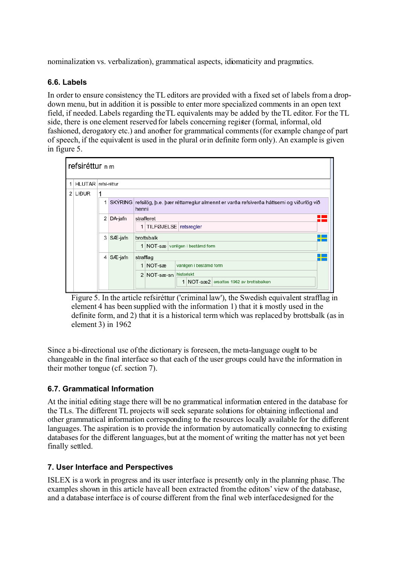nominalization vs. verbalization), grammatical aspects, idiomaticity and pragmatics.

#### **6.6. Labels**

In order to ensure consistency the TL editors are provided with a fixed set of labels from a dropdown menu, but in addition it is possible to enter more specialized comments in an open text field, if needed. Labels regarding the TL equivalents may be added by the TL editor. For the TL side, there is one element reserved for labels concerning register (formal, informal, old fashioned, derogatory etc.) and another for grammatical comments (for example change of part of speech, if the equivalent is used in the plural or in definite form only). An example is given in figure 5.



Figure 5. In the article refsiréttur ('criminal law'), the Swedish equivalent strafflag in element 4 has been supplied with the information 1) that it is mostly used in the definite form, and 2) that it is a historical term which was replaced by brottsbalk (as in element 3) in 1962

Since a bi-directional use of the dictionary is foreseen, the meta-language ought to be changeable in the final interface so that each of the user groups could have the information in their mother tongue (cf. section 7).

# **6.7. Grammatical Information**

At the initial editing stage there will be no grammatical information entered in the database for the TLs. The different TL projects will seek separate solutions for obtaining inflectional and other grammatical information corresponding to the resources locally available for the different languages. The aspiration is to provide the information by automatically connecting to existing databases for the different languages, but at the moment of writing the matter has not yet been finally settled.

#### **7. User Interface and Perspectives**

ISLEX is a work in progress and its user interface is presently only in the planning phase. The examples shown in this article have all been extracted from the editors' view of the database, and a database interface is of course different from the final web interface designed for the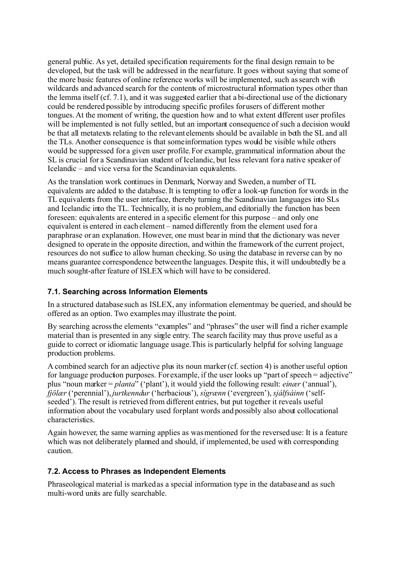general public. As yet, detailed specification requirements for the final design remain to be developed, but the task will be addressed in the near future. It goes without saying that some of the more basic features of online reference works will be implemented, such as search with wildcards and advanced search for the contents of microstructural information types other than the lemma itself (cf. 7.1), and it was suggested earlier that a bi-directional use of the dictionary could be rendered possible by introducing specific profiles for users of different mother tongues. At the moment of writing, the question how and to what extent different user profiles will be implemented is not fully settled, but an important consequence of such a decision would be that all metatexts relating to the relevant elements should be available in both the SL and all the TLs. Another consequence is that some information types would be visible while others would be suppressed for a given user profile. For example, grammatical information about the SL is crucial for a Scandinavian student of Icelandic, but less relevant for a native speaker of Icelandic – and vice versa for the Scandinavian equivalents.

As the translation work continues in Denmark, Norway and Sweden, a number of TL equivalents are added to the database. It is tempting to offer a look-up function for words in the TL equivalents from the user interface, thereby turning the Scandinavian languages into SLs and Icelandic into the TL. Technically, it is no problem, and editorially the function has been foreseen: equivalents are entered in a specific element for this purpose – and only one equivalent is entered in each element – named differently from the element used for a paraphrase or an explanation. However, one must bear in mind that the dictionary was never designed to operate in the opposite direction, and within the framework of the current project, resources do not suffice to allow human checking. So using the database in reverse can by no means guarantee correspondence between the languages. Despite this, it will undoubtedly be a much sought-after feature of ISLEX which will have to be considered.

#### **7.1. Searching across Information Elements**

In a structured database such as ISLEX, any information element may be queried, and should be offered as an option. Two examples may illustrate the point.

By searching across the elements "examples" and "phrases" the user will find a richer example material than is presented in any single entry. The search facility may thus prove useful as a guide to correct or idiomatic language usage. This is particularly helpful for solving language production problems.

A combined search for an adjective plus its noun marker (cf. section 4) is another useful option for language production purposes. For example, if the user looks up "part of speech = adjective" plus "noun marker = *planta*" ('plant'), it would yield the following result: *einær* ('annual'), *fjölær* ('perennial'), *jurtkenndur* ('herbacious'), *sígrænn* ('evergreen'),*sjálfsáinn* ('selfseeded'). The result is retrieved from different entries, but put together it reveals useful information about the vocabulary used for plant words and possibly also about collocational characteristics.

Again however, the same warning applies as was mentioned for the reversed use: It is a feature which was not deliberately planned and should, if implemented, be used with corresponding caution.

#### **7.2. Access to Phrases as Independent Elements**

Phraseological material is marked as a special information type in the database and as such multi-word units are fully searchable.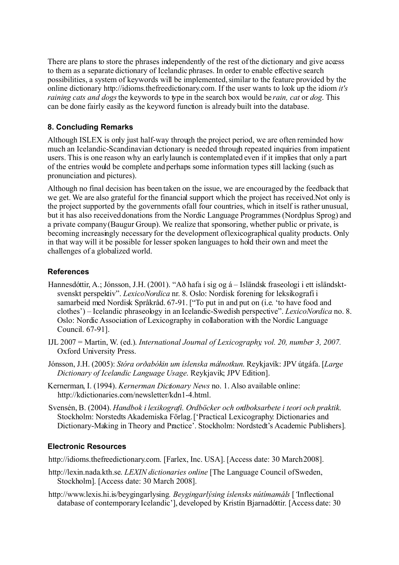There are plans to store the phrases independently of the rest of the dictionary and give access to them as a separate dictionary of Icelandic phrases. In order to enable effective search possibilities, a system of keywords will be implemented, similar to the feature provided by the online dictionary http://idioms.thefreedictionary.com. If the user wants to look up the idiom *it's raining cats and dogs* the keywords to type in the search box would be *rain, cat* or *dog*. This can be done fairly easily as the keyword function is already built into the database.

#### **8. Concluding Remarks**

Although ISLEX is only just half-way through the project period, we are often reminded how much an Icelandic-Scandinavian detionary is needed through repeated inquiries from impatient users. This is one reason why an early launch is contemplated even if it implies that only a part of the entries would be complete and perhaps some information types still lacking (such as pronunciation and pictures).

Although no final decision has been taken on the issue, we are encouraged by the feedback that we get. We are also grateful for the financial support which the project has received. Not only is the project supported by the governments of all four countries, which in itself is rather unusual, but it has also received donations from the Nordic Language Programmes (Nordplus Sprog) and a private company (Baugur Group). We realize that sponsoring, whether public or private, is becoming increasingly necessary for the development of lexicographical quality products. Only in that way will it be possible for lesser spoken languages to hold their own and meet the challenges of a globalized world.

### **References**

- Hannesdóttir, A.; Jónsson, J.H. (2001). "Að hafa í sig og á Isländsk fraseologi i ett isländsktsvenskt perspektiv". *LexicoNordica* nr. 8. Oslo: Nordisk forening for leksikografi i samarbeid med Nordisk Språkråd. 67-91. ["To put in and put on (i.e. 'to have food and clothes') – Icelandic phraseology in an Icelandic-Swedish perspective". *LexicoNordica* no. 8. Oslo: Nordic Association of Lexicography in collaboration with the Nordic Language Council. 67-91].
- IJL 2007 = Martin, W. (ed.). *International Journal of Lexicography, vol. 20, number 3, 2007.* Oxford University Press.
- Jónsson, J.H. (2005): *Stóra orðabókin um íslenska málnotkun*. Reykjavík: JPV útgáfa. [*Large Dictionary of Icelandic Language Usage*. Reykjavik; JPV Edition].
- Kernerman, I. (1994). *Kernerman Dictionary News* no. 1. Also available online: http://kdictionaries.com/newsletter/kdn1-4.html.
- Svensén, B. (2004). *Handbok i lexikografi. Ordböcker och ordboksarbete i teori och praktik*. Stockholm: Norstedts Akademiska Förlag. ['Practical Lexicography: Dictionaries and Dictionary-Making in Theory and Practice'. Stockholm: Nordstedt's Academic Publishers].

#### **Electronic Resources**

[http://idioms.thefreedictionary.com.](http://www.m-w.com/) [Farlex, Inc. USA]. [Access date: 30 March 2008].

- [http://lexin.nada.kth.se.](http://www.m-w.com/) *LEXIN dictionaries online* [The Language Council of Sweden, Stockholm]. [Access date: 30 March 2008].
- http://www.lexis.hi.is/beygingarlysing*. Beygingarlýsing íslensks nútímamáls* [*'*Inflectional database of contemporary Icelandic'], developed by Kristín Bjarnadóttir. [Access date: 30